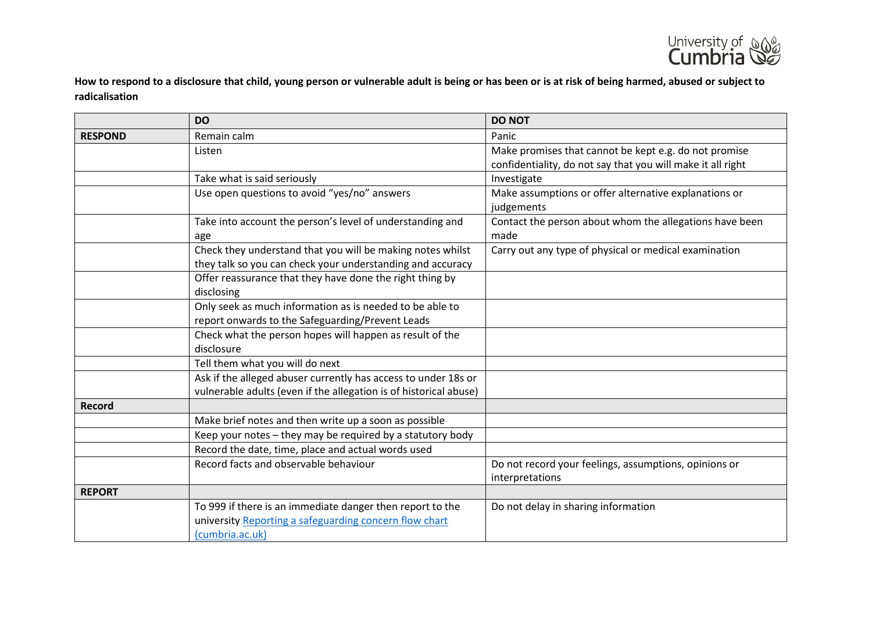

**How to respond to a disclosure that child, young person or vulnerable adult is being or has been or is at risk of being harmed, abused or subject to radicalisation**

|                | <b>DO</b>                                                         | <b>DO NOT</b>                                               |
|----------------|-------------------------------------------------------------------|-------------------------------------------------------------|
| <b>RESPOND</b> | Remain calm                                                       | Panic                                                       |
|                | Listen                                                            | Make promises that cannot be kept e.g. do not promise       |
|                |                                                                   | confidentiality, do not say that you will make it all right |
|                | Take what is said seriously                                       | Investigate                                                 |
|                | Use open questions to avoid "yes/no" answers                      | Make assumptions or offer alternative explanations or       |
|                |                                                                   | judgements                                                  |
|                | Take into account the person's level of understanding and         | Contact the person about whom the allegations have been     |
|                | age                                                               | made                                                        |
|                | Check they understand that you will be making notes whilst        | Carry out any type of physical or medical examination       |
|                | they talk so you can check your understanding and accuracy        |                                                             |
|                | Offer reassurance that they have done the right thing by          |                                                             |
|                | disclosing                                                        |                                                             |
|                | Only seek as much information as is needed to be able to          |                                                             |
|                | report onwards to the Safeguarding/Prevent Leads                  |                                                             |
|                | Check what the person hopes will happen as result of the          |                                                             |
|                | disclosure                                                        |                                                             |
|                | Tell them what you will do next                                   |                                                             |
|                | Ask if the alleged abuser currently has access to under 18s or    |                                                             |
|                | vulnerable adults (even if the allegation is of historical abuse) |                                                             |
| Record         |                                                                   |                                                             |
|                | Make brief notes and then write up a soon as possible             |                                                             |
|                | Keep your notes - they may be required by a statutory body        |                                                             |
|                | Record the date, time, place and actual words used                |                                                             |
|                | Record facts and observable behaviour                             | Do not record your feelings, assumptions, opinions or       |
|                |                                                                   | interpretations                                             |
| <b>REPORT</b>  |                                                                   |                                                             |
|                | To 999 if there is an immediate danger then report to the         | Do not delay in sharing information                         |
|                | university Reporting a safeguarding concern flow chart            |                                                             |
|                | (cumbria.ac.uk)                                                   |                                                             |